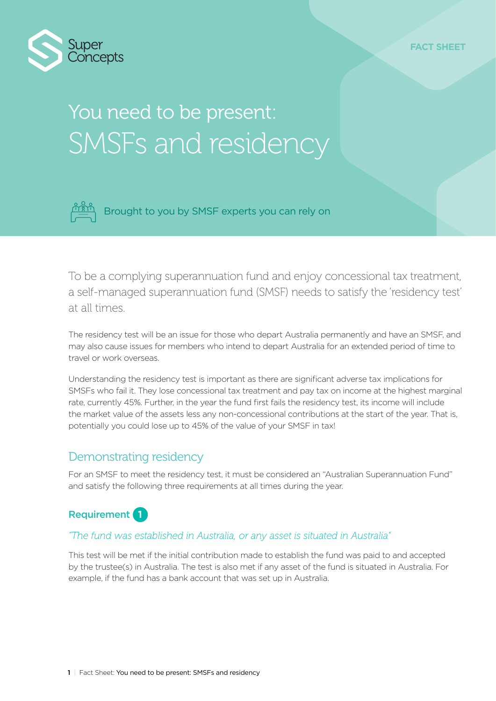

# You need to be present: SMSFs and residency



Brought to you by SMSF experts you can rely on

To be a complying superannuation fund and enjoy concessional tax treatment, a self-managed superannuation fund (SMSF) needs to satisfy the 'residency test' at all times.

The residency test will be an issue for those who depart Australia permanently and have an SMSF, and may also cause issues for members who intend to depart Australia for an extended period of time to travel or work overseas.

Understanding the residency test is important as there are significant adverse tax implications for SMSFs who fail it. They lose concessional tax treatment and pay tax on income at the highest marginal rate, currently 45%. Further, in the year the fund first fails the residency test, its income will include the market value of the assets less any non-concessional contributions at the start of the year. That is, potentially you could lose up to 45% of the value of your SMSF in tax!

## Demonstrating residency

For an SMSF to meet the residency test, it must be considered an "Australian Superannuation Fund" and satisfy the following three requirements at all times during the year.



### *"The fund was established in Australia, or any asset is situated in Australia"*

This test will be met if the initial contribution made to establish the fund was paid to and accepted by the trustee(s) in Australia. The test is also met if any asset of the fund is situated in Australia. For example, if the fund has a bank account that was set up in Australia.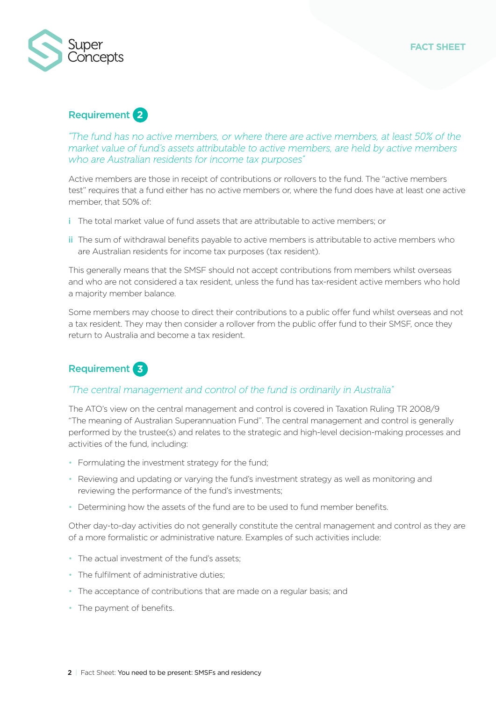

## Requirement **2**

*"The fund has no active members, or where there are active members, at least 50% of the market value of fund's assets attributable to active members, are held by active members who are Australian residents for income tax purposes"*

Active members are those in receipt of contributions or rollovers to the fund. The "active members test" requires that a fund either has no active members or, where the fund does have at least one active member, that 50% of:

- i The total market value of fund assets that are attributable to active members; or
- ii The sum of withdrawal benefits payable to active members is attributable to active members who are Australian residents for income tax purposes (tax resident).

This generally means that the SMSF should not accept contributions from members whilst overseas and who are not considered a tax resident, unless the fund has tax-resident active members who hold a majority member balance.

Some members may choose to direct their contributions to a public offer fund whilst overseas and not a tax resident. They may then consider a rollover from the public offer fund to their SMSF, once they return to Australia and become a tax resident.

## Requirement **3**

## *"The central management and control of the fund is ordinarily in Australia"*

The ATO's view on the central management and control is covered in Taxation Ruling TR 2008/9 "The meaning of Australian Superannuation Fund". The central management and control is generally performed by the trustee(s) and relates to the strategic and high-level decision-making processes and activities of the fund, including:

- Formulating the investment strategy for the fund;
- Reviewing and updating or varying the fund's investment strategy as well as monitoring and reviewing the performance of the fund's investments;
- Determining how the assets of the fund are to be used to fund member benefits.

Other day-to-day activities do not generally constitute the central management and control as they are of a more formalistic or administrative nature. Examples of such activities include:

- The actual investment of the fund's assets;
- The fulfilment of administrative duties;
- The acceptance of contributions that are made on a regular basis; and
- The payment of benefits.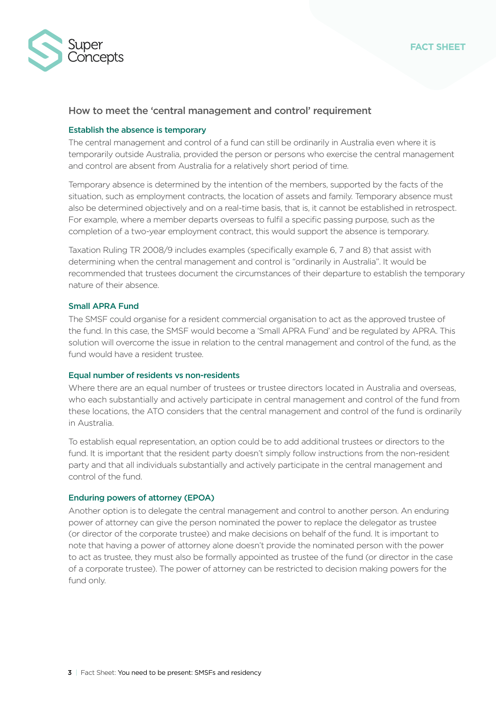

#### How to meet the 'central management and control' requirement

#### Establish the absence is temporary

The central management and control of a fund can still be ordinarily in Australia even where it is temporarily outside Australia, provided the person or persons who exercise the central management and control are absent from Australia for a relatively short period of time.

Temporary absence is determined by the intention of the members, supported by the facts of the situation, such as employment contracts, the location of assets and family. Temporary absence must also be determined objectively and on a real-time basis, that is, it cannot be established in retrospect. For example, where a member departs overseas to fulfil a specific passing purpose, such as the completion of a two-year employment contract, this would support the absence is temporary.

Taxation Ruling TR 2008/9 includes examples (specifically example 6, 7 and 8) that assist with determining when the central management and control is "ordinarily in Australia". It would be recommended that trustees document the circumstances of their departure to establish the temporary nature of their absence.

#### Small APRA Fund

The SMSF could organise for a resident commercial organisation to act as the approved trustee of the fund. In this case, the SMSF would become a 'Small APRA Fund' and be regulated by APRA. This solution will overcome the issue in relation to the central management and control of the fund, as the fund would have a resident trustee.

#### Equal number of residents vs non-residents

Where there are an equal number of trustees or trustee directors located in Australia and overseas, who each substantially and actively participate in central management and control of the fund from these locations, the ATO considers that the central management and control of the fund is ordinarily in Australia.

To establish equal representation, an option could be to add additional trustees or directors to the fund. It is important that the resident party doesn't simply follow instructions from the non-resident party and that all individuals substantially and actively participate in the central management and control of the fund.

#### Enduring powers of attorney (EPOA)

Another option is to delegate the central management and control to another person. An enduring power of attorney can give the person nominated the power to replace the delegator as trustee (or director of the corporate trustee) and make decisions on behalf of the fund. It is important to note that having a power of attorney alone doesn't provide the nominated person with the power to act as trustee, they must also be formally appointed as trustee of the fund (or director in the case of a corporate trustee). The power of attorney can be restricted to decision making powers for the fund only.